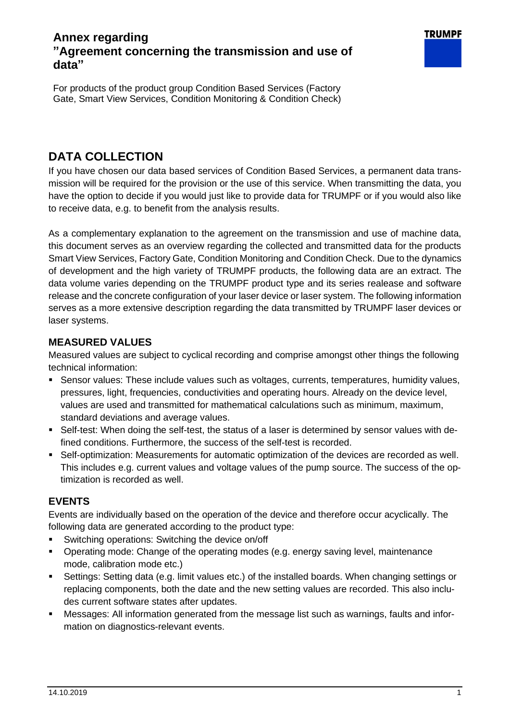# **Annex regarding "Agreement concerning the transmission and use of data"**

For products of the product group Condition Based Services (Factory Gate, Smart View Services, Condition Monitoring & Condition Check)

# **DATA COLLECTION**

If you have chosen our data based services of Condition Based Services, a permanent data transmission will be required for the provision or the use of this service. When transmitting the data, you have the option to decide if you would just like to provide data for TRUMPF or if you would also like to receive data, e.g. to benefit from the analysis results.

As a complementary explanation to the agreement on the transmission and use of machine data, this document serves as an overview regarding the collected and transmitted data for the products Smart View Services, Factory Gate, Condition Monitoring and Condition Check. Due to the dynamics of development and the high variety of TRUMPF products, the following data are an extract. The data volume varies depending on the TRUMPF product type and its series realease and software release and the concrete configuration of your laser device or laser system. The following information serves as a more extensive description regarding the data transmitted by TRUMPF laser devices or laser systems.

#### **MEASURED VALUES**

Measured values are subject to cyclical recording and comprise amongst other things the following technical information:

- Sensor values: These include values such as voltages, currents, temperatures, humidity values, pressures, light, frequencies, conductivities and operating hours. Already on the device level, values are used and transmitted for mathematical calculations such as minimum, maximum, standard deviations and average values.
- **•** Self-test: When doing the self-test, the status of a laser is determined by sensor values with defined conditions. Furthermore, the success of the self-test is recorded.
- **•** Self-optimization: Measurements for automatic optimization of the devices are recorded as well. This includes e.g. current values and voltage values of the pump source. The success of the optimization is recorded as well.

## **EVENTS**

Events are individually based on the operation of the device and therefore occur acyclically. The following data are generated according to the product type:

- Switching operations: Switching the device on/off
- Operating mode: Change of the operating modes (e.g. energy saving level, maintenance mode, calibration mode etc.)
- Settings: Setting data (e.g. limit values etc.) of the installed boards. When changing settings or replacing components, both the date and the new setting values are recorded. This also includes current software states after updates.
- Messages: All information generated from the message list such as warnings, faults and information on diagnostics-relevant events.